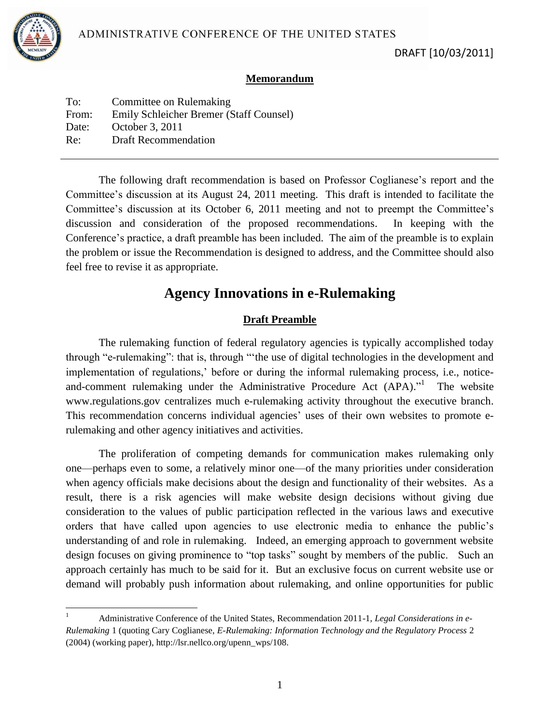

 $\overline{\phantom{a}}$ 

#### **Memorandum**

| To:   | Committee on Rulemaking                 |
|-------|-----------------------------------------|
| From: | Emily Schleicher Bremer (Staff Counsel) |
| Date: | October 3, 2011                         |
| Re:   | <b>Draft Recommendation</b>             |
|       |                                         |

The following draft recommendation is based on Professor Coglianese's report and the Committee"s discussion at its August 24, 2011 meeting. This draft is intended to facilitate the Committee's discussion at its October 6, 2011 meeting and not to preempt the Committee's discussion and consideration of the proposed recommendations. In keeping with the Conference's practice, a draft preamble has been included. The aim of the preamble is to explain the problem or issue the Recommendation is designed to address, and the Committee should also feel free to revise it as appropriate.

# **Agency Innovations in e-Rulemaking**

## **Draft Preamble**

The rulemaking function of federal regulatory agencies is typically accomplished today through "e-rulemaking": that is, through ""the use of digital technologies in the development and implementation of regulations,' before or during the informal rulemaking process, i.e., noticeand-comment rulemaking under the Administrative Procedure Act (APA)."<sup>1</sup> The website www.regulations.gov centralizes much e-rulemaking activity throughout the executive branch. This recommendation concerns individual agencies' uses of their own websites to promote erulemaking and other agency initiatives and activities.

The proliferation of competing demands for communication makes rulemaking only one—perhaps even to some, a relatively minor one—of the many priorities under consideration when agency officials make decisions about the design and functionality of their websites. As a result, there is a risk agencies will make website design decisions without giving due consideration to the values of public participation reflected in the various laws and executive orders that have called upon agencies to use electronic media to enhance the public"s understanding of and role in rulemaking. Indeed, an emerging approach to government website design focuses on giving prominence to "top tasks" sought by members of the public. Such an approach certainly has much to be said for it. But an exclusive focus on current website use or demand will probably push information about rulemaking, and online opportunities for public

<sup>1</sup> Administrative Conference of the United States, Recommendation 2011-1, *Legal Considerations in e-Rulemaking* 1 (quoting Cary Coglianese, *E-Rulemaking: Information Technology and the Regulatory Process* 2 (2004) (working paper), http://lsr.nellco.org/upenn\_wps/108.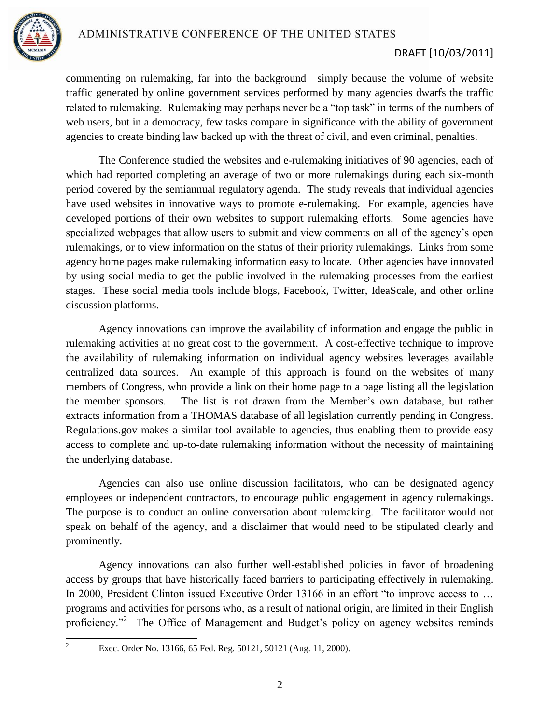

# DRAFT [10/03/2011]

commenting on rulemaking, far into the background—simply because the volume of website traffic generated by online government services performed by many agencies dwarfs the traffic related to rulemaking. Rulemaking may perhaps never be a "top task" in terms of the numbers of web users, but in a democracy, few tasks compare in significance with the ability of government agencies to create binding law backed up with the threat of civil, and even criminal, penalties.

The Conference studied the websites and e-rulemaking initiatives of 90 agencies, each of which had reported completing an average of two or more rulemakings during each six-month period covered by the semiannual regulatory agenda. The study reveals that individual agencies have used websites in innovative ways to promote e-rulemaking. For example, agencies have developed portions of their own websites to support rulemaking efforts. Some agencies have specialized webpages that allow users to submit and view comments on all of the agency's open rulemakings, or to view information on the status of their priority rulemakings. Links from some agency home pages make rulemaking information easy to locate. Other agencies have innovated by using social media to get the public involved in the rulemaking processes from the earliest stages. These social media tools include blogs, Facebook, Twitter, IdeaScale, and other online discussion platforms.

Agency innovations can improve the availability of information and engage the public in rulemaking activities at no great cost to the government. A cost-effective technique to improve the availability of rulemaking information on individual agency websites leverages available centralized data sources. An example of this approach is found on the websites of many members of Congress, who provide a link on their home page to a page listing all the legislation the member sponsors. The list is not drawn from the Member"s own database, but rather extracts information from a THOMAS database of all legislation currently pending in Congress. Regulations.gov makes a similar tool available to agencies, thus enabling them to provide easy access to complete and up-to-date rulemaking information without the necessity of maintaining the underlying database.

Agencies can also use online discussion facilitators, who can be designated agency employees or independent contractors, to encourage public engagement in agency rulemakings. The purpose is to conduct an online conversation about rulemaking. The facilitator would not speak on behalf of the agency, and a disclaimer that would need to be stipulated clearly and prominently.

Agency innovations can also further well-established policies in favor of broadening access by groups that have historically faced barriers to participating effectively in rulemaking. In 2000, President Clinton issued Executive Order 13166 in an effort "to improve access to ... programs and activities for persons who, as a result of national origin, are limited in their English proficiency."<sup>2</sup> The Office of Management and Budget's policy on agency websites reminds

 $\overline{c}$ 

Exec. Order No. 13166, 65 Fed. Reg. 50121, 50121 (Aug. 11, 2000).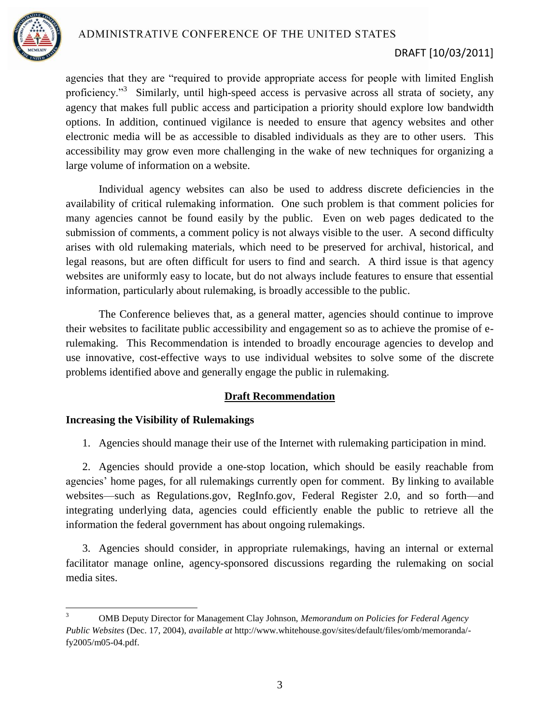

## DRAFT [10/03/2011]

agencies that they are "required to provide appropriate access for people with limited English proficiency."<sup>3</sup> Similarly, until high-speed access is pervasive across all strata of society, any agency that makes full public access and participation a priority should explore low bandwidth options. In addition, continued vigilance is needed to ensure that agency websites and other electronic media will be as accessible to disabled individuals as they are to other users. This accessibility may grow even more challenging in the wake of new techniques for organizing a large volume of information on a website.

Individual agency websites can also be used to address discrete deficiencies in the availability of critical rulemaking information. One such problem is that comment policies for many agencies cannot be found easily by the public. Even on web pages dedicated to the submission of comments, a comment policy is not always visible to the user. A second difficulty arises with old rulemaking materials, which need to be preserved for archival, historical, and legal reasons, but are often difficult for users to find and search. A third issue is that agency websites are uniformly easy to locate, but do not always include features to ensure that essential information, particularly about rulemaking, is broadly accessible to the public.

The Conference believes that, as a general matter, agencies should continue to improve their websites to facilitate public accessibility and engagement so as to achieve the promise of erulemaking. This Recommendation is intended to broadly encourage agencies to develop and use innovative, cost-effective ways to use individual websites to solve some of the discrete problems identified above and generally engage the public in rulemaking.

#### **Draft Recommendation**

## **Increasing the Visibility of Rulemakings**

 $\overline{\phantom{a}}$ 

1. Agencies should manage their use of the Internet with rulemaking participation in mind.

2. Agencies should provide a one-stop location, which should be easily reachable from agencies' home pages, for all rulemakings currently open for comment. By linking to available websites—such as Regulations.gov, RegInfo.gov, Federal Register 2.0, and so forth—and integrating underlying data, agencies could efficiently enable the public to retrieve all the information the federal government has about ongoing rulemakings.

3. Agencies should consider, in appropriate rulemakings, having an internal or external facilitator manage online, agency-sponsored discussions regarding the rulemaking on social media sites.

<sup>3</sup> OMB Deputy Director for Management Clay Johnson, *Memorandum on Policies for Federal Agency Public Websites* (Dec. 17, 2004), *available at* http://www.whitehouse.gov/sites/default/files/omb/memoranda/ fy2005/m05-04.pdf.